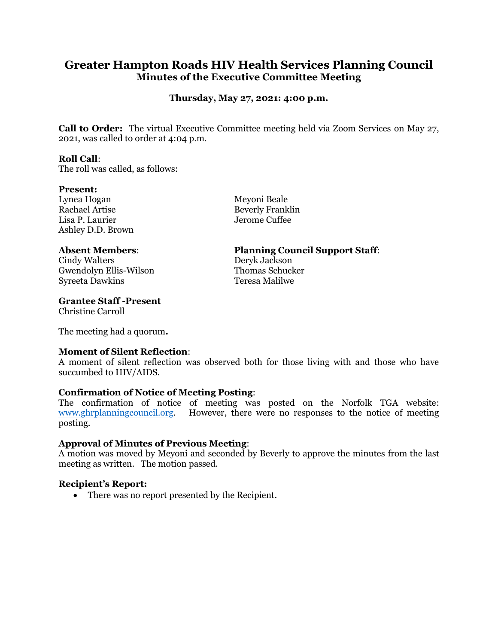# **Greater Hampton Roads HIV Health Services Planning Council Minutes of the Executive Committee Meeting**

## **Thursday, May 27, 2021: 4:00 p.m.**

**Call to Order:** The virtual Executive Committee meeting held via Zoom Services on May 27, 2021, was called to order at 4:04 p.m.

#### **Roll Call**:

The roll was called, as follows:

#### **Present:**

Lynea Hogan Meyoni Beale Rachael Artise Beverly Franklin Lisa P. Laurier Jerome Cuffee Ashley D.D. Brown

Cindy Walters Deryk Jackson Gwendolyn Ellis-Wilson Syreeta Dawkins Teresa Malilwe

### **Grantee Staff -Present**

Christine Carroll

The meeting had a quorum**.**

### **Moment of Silent Reflection**:

A moment of silent reflection was observed both for those living with and those who have succumbed to HIV/AIDS.

### **Confirmation of Notice of Meeting Posting**:

The confirmation of notice of meeting was posted on the Norfolk TGA website: [www.ghrplanningcouncil.org.](http://www.ghrplanningcouncil.org/) However, there were no responses to the notice of meeting posting.

### **Approval of Minutes of Previous Meeting**:

A motion was moved by Meyoni and seconded by Beverly to approve the minutes from the last meeting as written. The motion passed.

### **Recipient's Report:**

• There was no report presented by the Recipient.

## **Absent Members**: **Planning Council Support Staff**: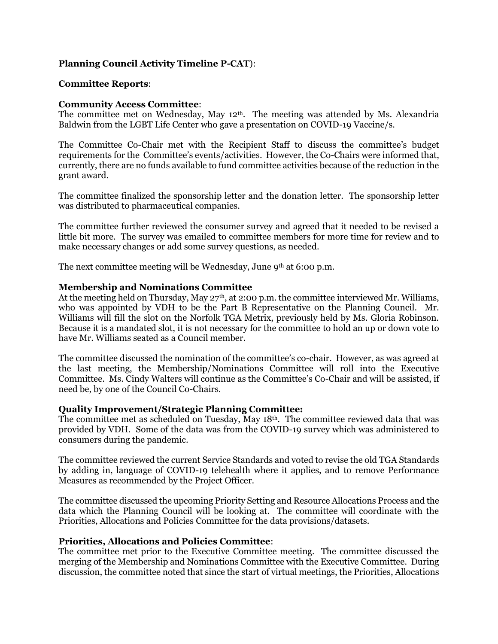## **Planning Council Activity Timeline P-CAT**):

#### **Committee Reports**:

#### **Community Access Committee**:

The committee met on Wednesday, May 12<sup>th</sup>. The meeting was attended by Ms. Alexandria Baldwin from the LGBT Life Center who gave a presentation on COVID-19 Vaccine/s.

The Committee Co-Chair met with the Recipient Staff to discuss the committee's budget requirements for the Committee's events/activities. However, the Co-Chairs were informed that, currently, there are no funds available to fund committee activities because of the reduction in the grant award.

The committee finalized the sponsorship letter and the donation letter. The sponsorship letter was distributed to pharmaceutical companies.

The committee further reviewed the consumer survey and agreed that it needed to be revised a little bit more. The survey was emailed to committee members for more time for review and to make necessary changes or add some survey questions, as needed.

The next committee meeting will be Wednesday, June 9th at 6:00 p.m.

#### **Membership and Nominations Committee**

At the meeting held on Thursday, May  $27<sup>th</sup>$ , at 2:00 p.m. the committee interviewed Mr. Williams, who was appointed by VDH to be the Part B Representative on the Planning Council. Mr. Williams will fill the slot on the Norfolk TGA Metrix, previously held by Ms. Gloria Robinson. Because it is a mandated slot, it is not necessary for the committee to hold an up or down vote to have Mr. Williams seated as a Council member.

The committee discussed the nomination of the committee's co-chair. However, as was agreed at the last meeting, the Membership/Nominations Committee will roll into the Executive Committee. Ms. Cindy Walters will continue as the Committee's Co-Chair and will be assisted, if need be, by one of the Council Co-Chairs.

#### **Quality Improvement/Strategic Planning Committee:**

The committee met as scheduled on Tuesday, May 18th. The committee reviewed data that was provided by VDH. Some of the data was from the COVID-19 survey which was administered to consumers during the pandemic.

The committee reviewed the current Service Standards and voted to revise the old TGA Standards by adding in, language of COVID-19 telehealth where it applies, and to remove Performance Measures as recommended by the Project Officer.

The committee discussed the upcoming Priority Setting and Resource Allocations Process and the data which the Planning Council will be looking at. The committee will coordinate with the Priorities, Allocations and Policies Committee for the data provisions/datasets.

#### **Priorities, Allocations and Policies Committee**:

The committee met prior to the Executive Committee meeting. The committee discussed the merging of the Membership and Nominations Committee with the Executive Committee. During discussion, the committee noted that since the start of virtual meetings, the Priorities, Allocations